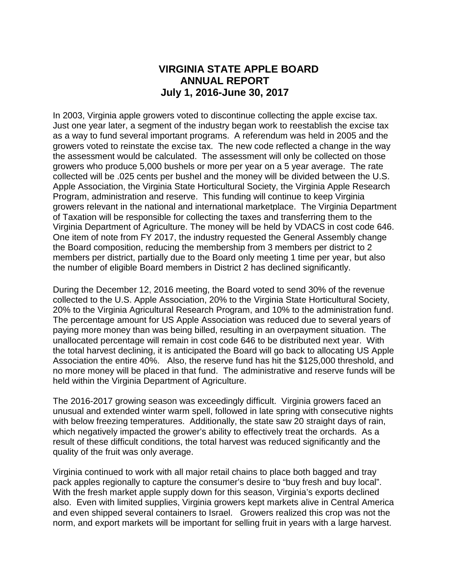# **VIRGINIA STATE APPLE BOARD ANNUAL REPORT July 1, 2016-June 30, 2017**

In 2003, Virginia apple growers voted to discontinue collecting the apple excise tax. Just one year later, a segment of the industry began work to reestablish the excise tax as a way to fund several important programs. A referendum was held in 2005 and the growers voted to reinstate the excise tax. The new code reflected a change in the way the assessment would be calculated. The assessment will only be collected on those growers who produce 5,000 bushels or more per year on a 5 year average. The rate collected will be .025 cents per bushel and the money will be divided between the U.S. Apple Association, the Virginia State Horticultural Society, the Virginia Apple Research Program, administration and reserve. This funding will continue to keep Virginia growers relevant in the national and international marketplace. The Virginia Department of Taxation will be responsible for collecting the taxes and transferring them to the Virginia Department of Agriculture. The money will be held by VDACS in cost code 646. One item of note from FY 2017, the industry requested the General Assembly change the Board composition, reducing the membership from 3 members per district to 2 members per district, partially due to the Board only meeting 1 time per year, but also the number of eligible Board members in District 2 has declined significantly.

During the December 12, 2016 meeting, the Board voted to send 30% of the revenue collected to the U.S. Apple Association, 20% to the Virginia State Horticultural Society, 20% to the Virginia Agricultural Research Program, and 10% to the administration fund. The percentage amount for US Apple Association was reduced due to several years of paying more money than was being billed, resulting in an overpayment situation. The unallocated percentage will remain in cost code 646 to be distributed next year. With the total harvest declining, it is anticipated the Board will go back to allocating US Apple Association the entire 40%. Also, the reserve fund has hit the \$125,000 threshold, and no more money will be placed in that fund. The administrative and reserve funds will be held within the Virginia Department of Agriculture.

The 2016-2017 growing season was exceedingly difficult. Virginia growers faced an unusual and extended winter warm spell, followed in late spring with consecutive nights with below freezing temperatures. Additionally, the state saw 20 straight days of rain, which negatively impacted the grower's ability to effectively treat the orchards. As a result of these difficult conditions, the total harvest was reduced significantly and the quality of the fruit was only average.

Virginia continued to work with all major retail chains to place both bagged and tray pack apples regionally to capture the consumer's desire to "buy fresh and buy local". With the fresh market apple supply down for this season, Virginia's exports declined also. Even with limited supplies, Virginia growers kept markets alive in Central America and even shipped several containers to Israel. Growers realized this crop was not the norm, and export markets will be important for selling fruit in years with a large harvest.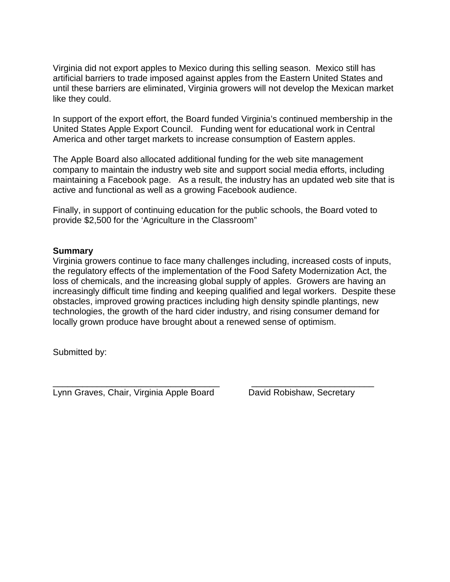Virginia did not export apples to Mexico during this selling season. Mexico still has artificial barriers to trade imposed against apples from the Eastern United States and until these barriers are eliminated, Virginia growers will not develop the Mexican market like they could.

In support of the export effort, the Board funded Virginia's continued membership in the United States Apple Export Council. Funding went for educational work in Central America and other target markets to increase consumption of Eastern apples.

The Apple Board also allocated additional funding for the web site management company to maintain the industry web site and support social media efforts, including maintaining a Facebook page. As a result, the industry has an updated web site that is active and functional as well as a growing Facebook audience.

Finally, in support of continuing education for the public schools, the Board voted to provide \$2,500 for the 'Agriculture in the Classroom"

#### **Summary**

Virginia growers continue to face many challenges including, increased costs of inputs, the regulatory effects of the implementation of the Food Safety Modernization Act, the loss of chemicals, and the increasing global supply of apples. Growers are having an increasingly difficult time finding and keeping qualified and legal workers. Despite these obstacles, improved growing practices including high density spindle plantings, new technologies, the growth of the hard cider industry, and rising consumer demand for locally grown produce have brought about a renewed sense of optimism.

Submitted by:

\_\_\_\_\_\_\_\_\_\_\_\_\_\_\_\_\_\_\_\_\_\_\_\_\_\_\_\_\_\_\_\_\_\_ \_\_\_\_\_\_\_\_\_\_\_\_\_\_\_\_\_\_\_\_\_\_\_\_\_ Lynn Graves, Chair, Virginia Apple Board David Robishaw, Secretary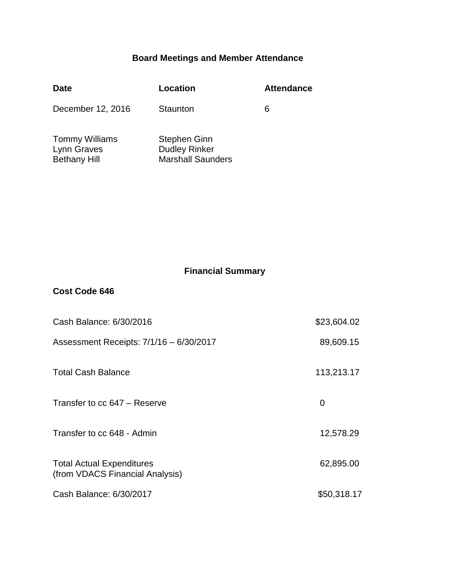## **Board Meetings and Member Attendance**

| <b>Date</b>                                                 | Location                                                         | <b>Attendance</b> |
|-------------------------------------------------------------|------------------------------------------------------------------|-------------------|
| December 12, 2016                                           | Staunton                                                         | 6                 |
| <b>Tommy Williams</b><br>Lynn Graves<br><b>Bethany Hill</b> | Stephen Ginn<br><b>Dudley Rinker</b><br><b>Marshall Saunders</b> |                   |

## **Financial Summary**

### **Cost Code 646**

| Cash Balance: 6/30/2016                                             | \$23,604.02 |
|---------------------------------------------------------------------|-------------|
| Assessment Receipts: 7/1/16 - 6/30/2017                             | 89,609.15   |
| <b>Total Cash Balance</b>                                           | 113,213.17  |
| Transfer to cc 647 – Reserve                                        | 0           |
| Transfer to cc 648 - Admin                                          | 12,578.29   |
| <b>Total Actual Expenditures</b><br>(from VDACS Financial Analysis) | 62,895.00   |
| Cash Balance: 6/30/2017                                             | \$50,318.17 |